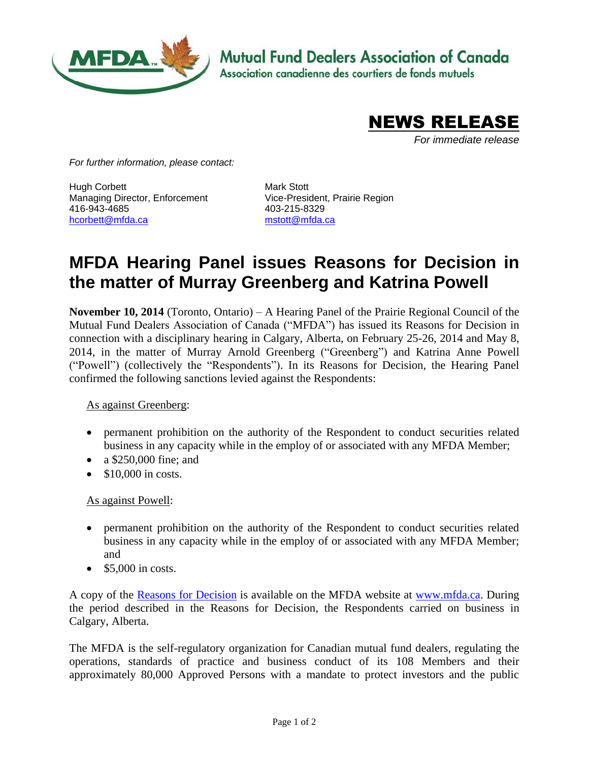

**Mutual Fund Dealers Association of Canada** 

Association canadienne des courtiers de fonds mutuels



*For immediate release*

*For further information, please contact:*

Hugh Corbett Managing Director, Enforcement 416-943-4685 [hcorbett@mfda.ca](mailto:hcorbett@mfda.ca)

Mark Stott Vice-President, Prairie Region 403-215-8329 [mstott@mfda.ca](mailto:mstott@mfda.ca)

## **MFDA Hearing Panel issues Reasons for Decision in the matter of Murray Greenberg and Katrina Powell**

**November 10, 2014** (Toronto, Ontario) – A Hearing Panel of the Prairie Regional Council of the Mutual Fund Dealers Association of Canada ("MFDA") has issued its Reasons for Decision in connection with a disciplinary hearing in Calgary, Alberta, on February 25-26, 2014 and May 8, 2014, in the matter of Murray Arnold Greenberg ("Greenberg") and Katrina Anne Powell ("Powell") (collectively the "Respondents"). In its Reasons for Decision, the Hearing Panel confirmed the following sanctions levied against the Respondents:

## As against Greenberg:

- permanent prohibition on the authority of the Respondent to conduct securities related business in any capacity while in the employ of or associated with any MFDA Member;
- a \$250,000 fine; and
- $\bullet$  \$10,000 in costs.

## As against Powell:

- permanent prohibition on the authority of the Respondent to conduct securities related business in any capacity while in the employ of or associated with any MFDA Member; and
- $\bullet$  \$5,000 in costs.

A copy of the [Reasons for Decision](http://www.mfda.ca/enforcement/hearings13/Reasons201326.pdf) is available on the MFDA website at [www.mfda.ca.](http://www.mfda.ca/enforcement/cases13/201326.html) During the period described in the Reasons for Decision, the Respondents carried on business in Calgary, Alberta.

The MFDA is the self-regulatory organization for Canadian mutual fund dealers, regulating the operations, standards of practice and business conduct of its 108 Members and their approximately 80,000 Approved Persons with a mandate to protect investors and the public